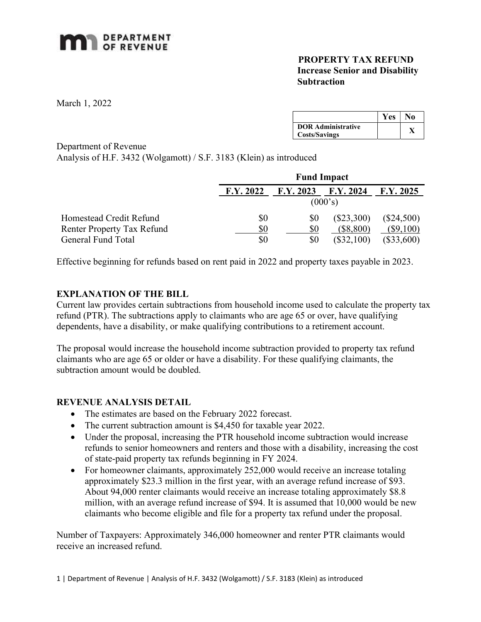# **MAN** DEPARTMENT

#### PROPERTY TAX REFUND Increase Senior and Disability **Subtraction**

March 1, 2022

|                                                   | <b>Yes</b> | No |
|---------------------------------------------------|------------|----|
| <b>DOR Administrative</b><br><b>Costs/Savings</b> |            |    |

Department of Revenue

Analysis of H.F. 3432 (Wolgamott) / S.F. 3183 (Klein) as introduced

|                                   | <b>Fund Impact</b> |           |              |              |
|-----------------------------------|--------------------|-----------|--------------|--------------|
|                                   | F.Y. 2022          | F.Y. 2023 | F.Y. 2024    | F.Y. 2025    |
|                                   | (000's)            |           |              |              |
| Homestead Credit Refund           | \$0                | \$0       | $(\$23,300)$ | $(\$24,500)$ |
| <b>Renter Property Tax Refund</b> | \$0                | \$0       | $(\$8,800)$  | $(\$9,100)$  |
| General Fund Total                | \$0                | \$0       | $(\$32,100)$ | $(\$33,600)$ |

Effective beginning for refunds based on rent paid in 2022 and property taxes payable in 2023.

### EXPLANATION OF THE BILL

Current law provides certain subtractions from household income used to calculate the property tax refund (PTR). The subtractions apply to claimants who are age 65 or over, have qualifying dependents, have a disability, or make qualifying contributions to a retirement account.

The proposal would increase the household income subtraction provided to property tax refund claimants who are age 65 or older or have a disability. For these qualifying claimants, the subtraction amount would be doubled.

### REVENUE ANALYSIS DETAIL

- The estimates are based on the February 2022 forecast.
- The current subtraction amount is \$4,450 for taxable year 2022.
- Under the proposal, increasing the PTR household income subtraction would increase refunds to senior homeowners and renters and those with a disability, increasing the cost of state-paid property tax refunds beginning in FY 2024.
- For homeowner claimants, approximately 252,000 would receive an increase totaling approximately \$23.3 million in the first year, with an average refund increase of \$93. About 94,000 renter claimants would receive an increase totaling approximately \$8.8 million, with an average refund increase of \$94. It is assumed that 10,000 would be new claimants who become eligible and file for a property tax refund under the proposal.

Number of Taxpayers: Approximately 346,000 homeowner and renter PTR claimants would receive an increased refund.